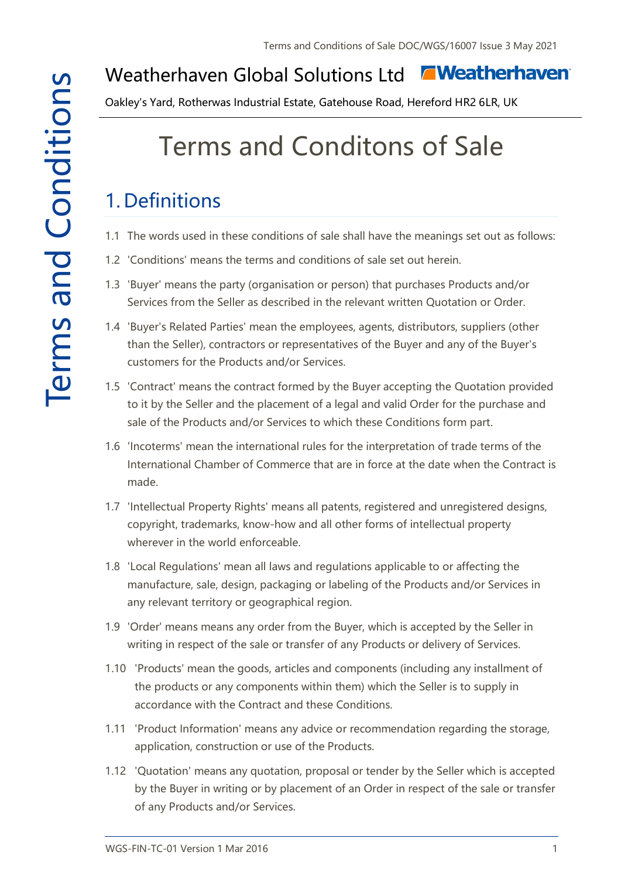#### **E** Weatherhaven Weatherhaven Global Solutions Ltd

Oakley's Yard, Rotherwas Industrial Estate, Gatehouse Road, Hereford HR2 6LR, UK

# Terms and Conditons of Sale

#### 1. Definitions

- 1.1 The words used in these conditions of sale shall have the meanings set out as follows:
- 1.2 'Conditions' means the terms and conditions of sale set out herein.
- 1.3 'Buyer' means the party (organisation or person) that purchases Products and/or Services from the Seller as described in the relevant written Quotation or Order.
- 1.4 'Buyer's Related Parties' mean the employees, agents, distributors, suppliers (other than the Seller), contractors or representatives of the Buyer and any of the Buyer's customers for the Products and/or Services.
- 1.5 'Contract' means the contract formed by the Buyer accepting the Quotation provided to it by the Seller and the placement of a legal and valid Order for the purchase and sale of the Products and/or Services to which these Conditions form part.
- 1.6 'Incoterms' mean the international rules for the interpretation of trade terms of the International Chamber of Commerce that are in force at the date when the Contract is made.
- 1.7 'Intellectual Property Rights' means all patents, registered and unregistered designs, copyright, trademarks, know-how and all other forms of intellectual property wherever in the world enforceable.
- 1.8 'Local Regulations' mean all laws and regulations applicable to or affecting the manufacture, sale, design, packaging or labeling of the Products and/or Services in any relevant territory or geographical region.
- 1.9 'Order' means means any order from the Buyer, which is accepted by the Seller in writing in respect of the sale or transfer of any Products or delivery of Services.
- 1.10 'Products' mean the goods, articles and components (including any installment of the products or any components within them) which the Seller is to supply in accordance with the Contract and these Conditions.
- 1.11 'Product Information' means any advice or recommendation regarding the storage, application, construction or use of the Products.
- 1.12 'Quotation' means any quotation, proposal or tender by the Seller which is accepted by the Buyer in writing or by placement of an Order in respect of the sale or transfer of any Products and/or Services.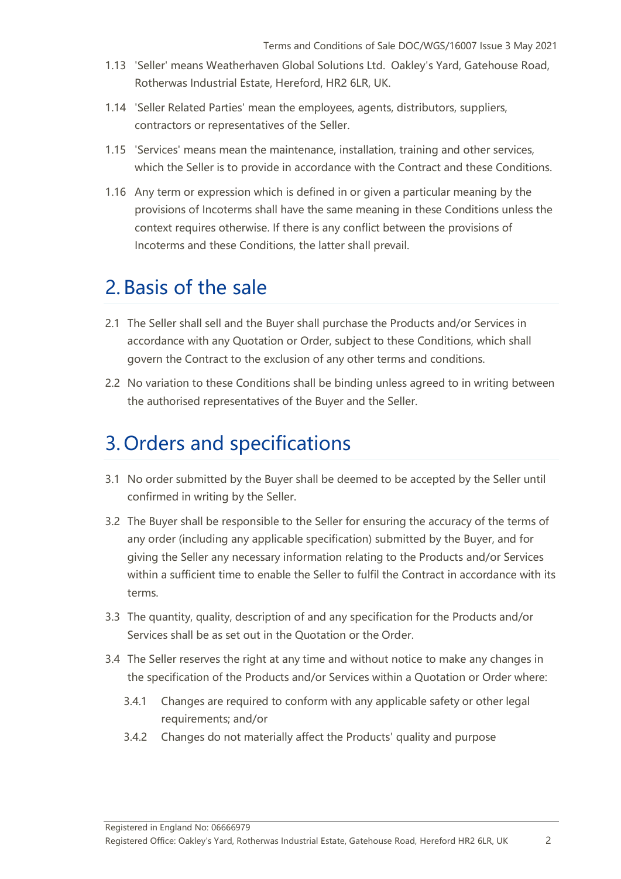- 1.13 'Seller' means Weatherhaven Global Solutions Ltd. Oakley's Yard, Gatehouse Road, Rotherwas Industrial Estate, Hereford, HR2 6LR, UK.
- 1.14 'Seller Related Parties' mean the employees, agents, distributors, suppliers, contractors or representatives of the Seller.
- 1.15 'Services' means mean the maintenance, installation, training and other services, which the Seller is to provide in accordance with the Contract and these Conditions.
- 1.16 Any term or expression which is defined in or given a particular meaning by the provisions of Incoterms shall have the same meaning in these Conditions unless the context requires otherwise. If there is any conflict between the provisions of Incoterms and these Conditions, the latter shall prevail.

#### 2. Basis of the sale

- 2.1 The Seller shall sell and the Buyer shall purchase the Products and/or Services in accordance with any Quotation or Order, subject to these Conditions, which shall govern the Contract to the exclusion of any other terms and conditions.
- 2.2 No variation to these Conditions shall be binding unless agreed to in writing between the authorised representatives of the Buyer and the Seller.

#### 3. Orders and specifications

- 3.1 No order submitted by the Buyer shall be deemed to be accepted by the Seller until confirmed in writing by the Seller.
- 3.2 The Buyer shall be responsible to the Seller for ensuring the accuracy of the terms of any order (including any applicable specification) submitted by the Buyer, and for giving the Seller any necessary information relating to the Products and/or Services within a sufficient time to enable the Seller to fulfil the Contract in accordance with its terms.
- 3.3 The quantity, quality, description of and any specification for the Products and/or Services shall be as set out in the Quotation or the Order.
- 3.4 The Seller reserves the right at any time and without notice to make any changes in the specification of the Products and/or Services within a Quotation or Order where:
	- 3.4.1 Changes are required to conform with any applicable safety or other legal requirements; and/or
	- 3.4.2 Changes do not materially affect the Products' quality and purpose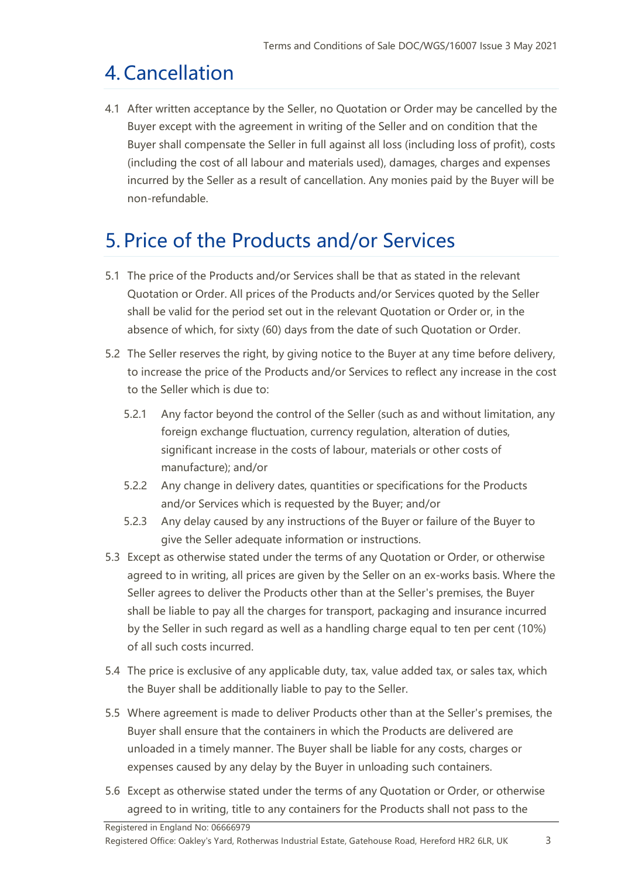# 4.Cancellation

4.1 After written acceptance by the Seller, no Quotation or Order may be cancelled by the Buyer except with the agreement in writing of the Seller and on condition that the Buyer shall compensate the Seller in full against all loss (including loss of profit), costs (including the cost of all labour and materials used), damages, charges and expenses incurred by the Seller as a result of cancellation. Any monies paid by the Buyer will be non-refundable.

#### 5. Price of the Products and/or Services

- 5.1 The price of the Products and/or Services shall be that as stated in the relevant Quotation or Order. All prices of the Products and/or Services quoted by the Seller shall be valid for the period set out in the relevant Quotation or Order or, in the absence of which, for sixty (60) days from the date of such Quotation or Order.
- 5.2 The Seller reserves the right, by giving notice to the Buyer at any time before delivery, to increase the price of the Products and/or Services to reflect any increase in the cost to the Seller which is due to:
	- 5.2.1 Any factor beyond the control of the Seller (such as and without limitation, any foreign exchange fluctuation, currency regulation, alteration of duties, significant increase in the costs of labour, materials or other costs of manufacture); and/or
	- 5.2.2 Any change in delivery dates, quantities or specifications for the Products and/or Services which is requested by the Buyer; and/or
	- 5.2.3 Any delay caused by any instructions of the Buyer or failure of the Buyer to give the Seller adequate information or instructions.
- 5.3 Except as otherwise stated under the terms of any Quotation or Order, or otherwise agreed to in writing, all prices are given by the Seller on an ex-works basis. Where the Seller agrees to deliver the Products other than at the Seller's premises, the Buyer shall be liable to pay all the charges for transport, packaging and insurance incurred by the Seller in such regard as well as a handling charge equal to ten per cent (10%) of all such costs incurred.
- 5.4 The price is exclusive of any applicable duty, tax, value added tax, or sales tax, which the Buyer shall be additionally liable to pay to the Seller.
- 5.5 Where agreement is made to deliver Products other than at the Seller's premises, the Buyer shall ensure that the containers in which the Products are delivered are unloaded in a timely manner. The Buyer shall be liable for any costs, charges or expenses caused by any delay by the Buyer in unloading such containers.
- 5.6 Except as otherwise stated under the terms of any Quotation or Order, or otherwise agreed to in writing, title to any containers for the Products shall not pass to the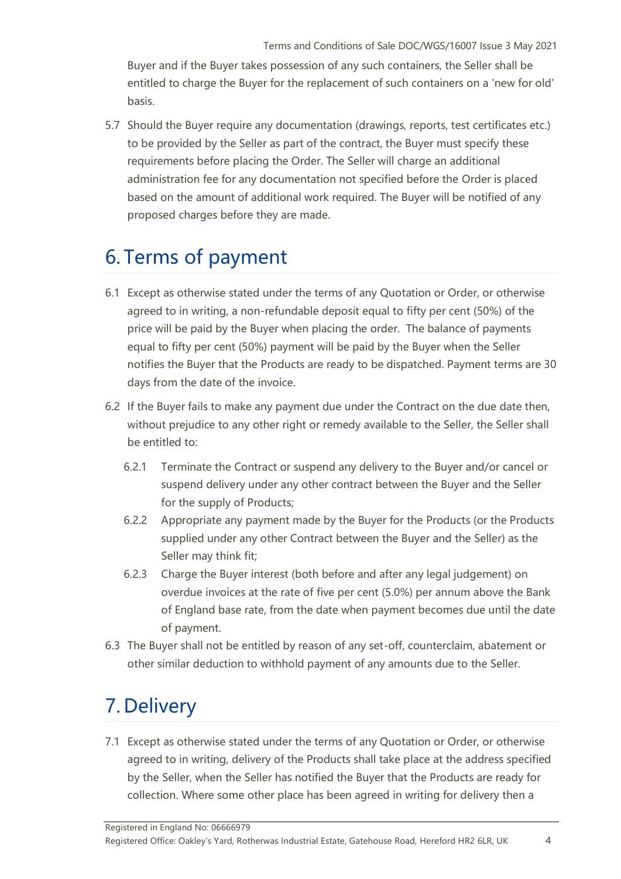Buyer and if the Buyer takes possession of any such containers, the Seller shall be entitled to charge the Buyer for the replacement of such containers on a 'new for old' basis.

5.7 Should the Buyer require any documentation (drawings, reports, test certificates etc.) to be provided by the Seller as part of the contract, the Buyer must specify these requirements before placing the Order. The Seller will charge an additional administration fee for any documentation not specified before the Order is placed based on the amount of additional work required. The Buyer will be notified of any proposed charges before they are made.

# 6. Terms of payment

- 6.1 Except as otherwise stated under the terms of any Quotation or Order, or otherwise agreed to in writing, a non-refundable deposit equal to fifty per cent (50%) of the price will be paid by the Buyer when placing the order. The balance of payments equal to fifty per cent (50%) payment will be paid by the Buyer when the Seller notifies the Buyer that the Products are ready to be dispatched. Payment terms are 30 days from the date of the invoice.
- 6.2 If the Buyer fails to make any payment due under the Contract on the due date then, without prejudice to any other right or remedy available to the Seller, the Seller shall be entitled to:
	- 6.2.1 Terminate the Contract or suspend any delivery to the Buyer and/or cancel or suspend delivery under any other contract between the Buyer and the Seller for the supply of Products;
	- 6.2.2 Appropriate any payment made by the Buyer for the Products (or the Products supplied under any other Contract between the Buyer and the Seller) as the Seller may think fit;
	- 6.2.3 Charge the Buyer interest (both before and after any legal judgement) on overdue invoices at the rate of five per cent (5.0%) per annum above the Bank of England base rate, from the date when payment becomes due until the date of payment.
- 6.3 The Buyer shall not be entitled by reason of any set-off, counterclaim, abatement or other similar deduction to withhold payment of any amounts due to the Seller.

#### 7. Delivery

7.1 Except as otherwise stated under the terms of any Quotation or Order, or otherwise agreed to in writing, delivery of the Products shall take place at the address specified by the Seller, when the Seller has notified the Buyer that the Products are ready for collection. Where some other place has been agreed in writing for delivery then a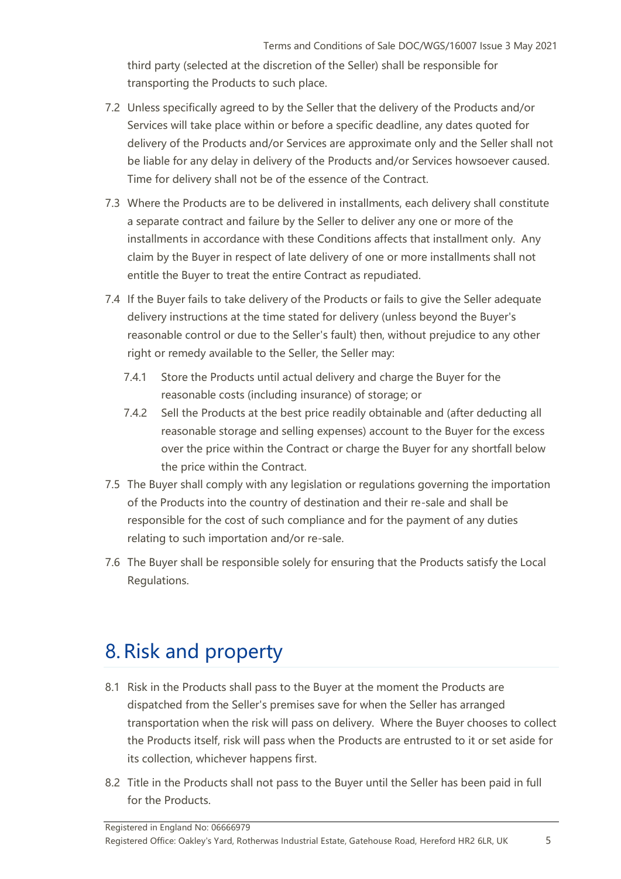third party (selected at the discretion of the Seller) shall be responsible for transporting the Products to such place.

- 7.2 Unless specifically agreed to by the Seller that the delivery of the Products and/or Services will take place within or before a specific deadline, any dates quoted for delivery of the Products and/or Services are approximate only and the Seller shall not be liable for any delay in delivery of the Products and/or Services howsoever caused. Time for delivery shall not be of the essence of the Contract.
- 7.3 Where the Products are to be delivered in installments, each delivery shall constitute a separate contract and failure by the Seller to deliver any one or more of the installments in accordance with these Conditions affects that installment only. Any claim by the Buyer in respect of late delivery of one or more installments shall not entitle the Buyer to treat the entire Contract as repudiated.
- 7.4 If the Buyer fails to take delivery of the Products or fails to give the Seller adequate delivery instructions at the time stated for delivery (unless beyond the Buyer's reasonable control or due to the Seller's fault) then, without prejudice to any other right or remedy available to the Seller, the Seller may:
	- 7.4.1 Store the Products until actual delivery and charge the Buyer for the reasonable costs (including insurance) of storage; or
	- 7.4.2 Sell the Products at the best price readily obtainable and (after deducting all reasonable storage and selling expenses) account to the Buyer for the excess over the price within the Contract or charge the Buyer for any shortfall below the price within the Contract.
- 7.5 The Buyer shall comply with any legislation or regulations governing the importation of the Products into the country of destination and their re-sale and shall be responsible for the cost of such compliance and for the payment of any duties relating to such importation and/or re-sale.
- 7.6 The Buyer shall be responsible solely for ensuring that the Products satisfy the Local Regulations.

#### 8.Risk and property

- 8.1 Risk in the Products shall pass to the Buyer at the moment the Products are dispatched from the Seller's premises save for when the Seller has arranged transportation when the risk will pass on delivery. Where the Buyer chooses to collect the Products itself, risk will pass when the Products are entrusted to it or set aside for its collection, whichever happens first.
- 8.2 Title in the Products shall not pass to the Buyer until the Seller has been paid in full for the Products.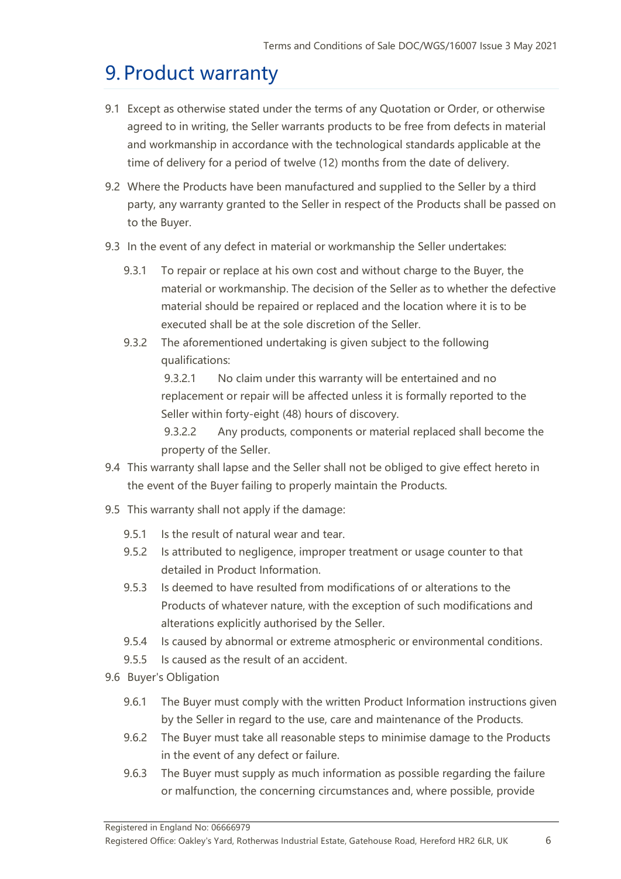# 9. Product warranty

- 9.1 Except as otherwise stated under the terms of any Quotation or Order, or otherwise agreed to in writing, the Seller warrants products to be free from defects in material and workmanship in accordance with the technological standards applicable at the time of delivery for a period of twelve (12) months from the date of delivery.
- 9.2 Where the Products have been manufactured and supplied to the Seller by a third party, any warranty granted to the Seller in respect of the Products shall be passed on to the Buyer.
- 9.3 In the event of any defect in material or workmanship the Seller undertakes:
	- 9.3.1 To repair or replace at his own cost and without charge to the Buyer, the material or workmanship. The decision of the Seller as to whether the defective material should be repaired or replaced and the location where it is to be executed shall be at the sole discretion of the Seller.
	- 9.3.2 The aforementioned undertaking is given subject to the following qualifications:

9.3.2.1 No claim under this warranty will be entertained and no replacement or repair will be affected unless it is formally reported to the Seller within forty-eight (48) hours of discovery.

9.3.2.2 Any products, components or material replaced shall become the property of the Seller.

- 9.4 This warranty shall lapse and the Seller shall not be obliged to give effect hereto in the event of the Buyer failing to properly maintain the Products.
- 9.5 This warranty shall not apply if the damage:
	- 9.5.1 Is the result of natural wear and tear.
	- 9.5.2 Is attributed to negligence, improper treatment or usage counter to that detailed in Product Information.
	- 9.5.3 Is deemed to have resulted from modifications of or alterations to the Products of whatever nature, with the exception of such modifications and alterations explicitly authorised by the Seller.
	- 9.5.4 Is caused by abnormal or extreme atmospheric or environmental conditions.
	- 9.5.5 Is caused as the result of an accident.
- 9.6 Buyer's Obligation
	- 9.6.1 The Buyer must comply with the written Product Information instructions given by the Seller in regard to the use, care and maintenance of the Products.
	- 9.6.2 The Buyer must take all reasonable steps to minimise damage to the Products in the event of any defect or failure.
	- 9.6.3 The Buyer must supply as much information as possible regarding the failure or malfunction, the concerning circumstances and, where possible, provide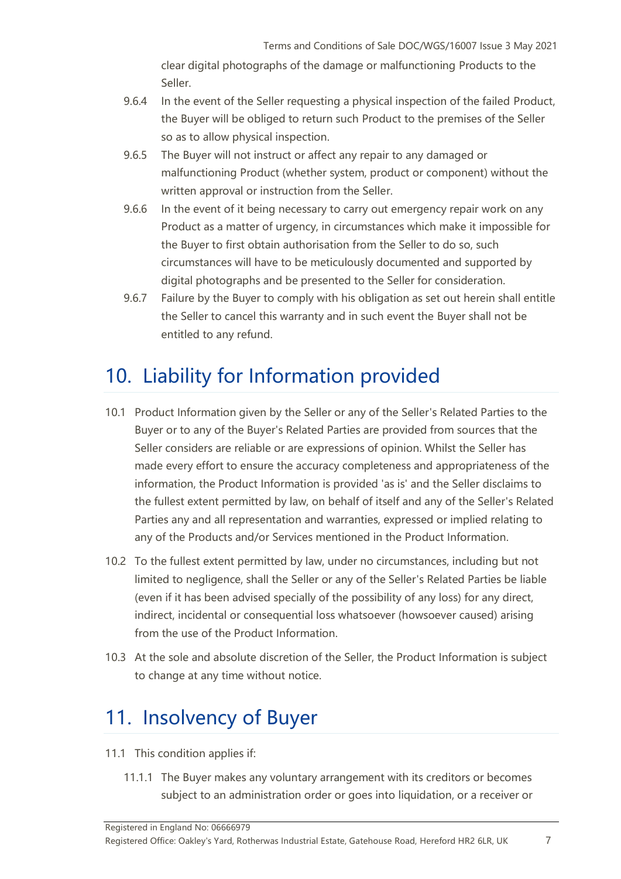clear digital photographs of the damage or malfunctioning Products to the Seller.

- 9.6.4 In the event of the Seller requesting a physical inspection of the failed Product, the Buyer will be obliged to return such Product to the premises of the Seller so as to allow physical inspection.
- 9.6.5 The Buyer will not instruct or affect any repair to any damaged or malfunctioning Product (whether system, product or component) without the written approval or instruction from the Seller.
- 9.6.6 In the event of it being necessary to carry out emergency repair work on any Product as a matter of urgency, in circumstances which make it impossible for the Buyer to first obtain authorisation from the Seller to do so, such circumstances will have to be meticulously documented and supported by digital photographs and be presented to the Seller for consideration.
- 9.6.7 Failure by the Buyer to comply with his obligation as set out herein shall entitle the Seller to cancel this warranty and in such event the Buyer shall not be entitled to any refund.

#### 10. Liability for Information provided

- 10.1 Product Information given by the Seller or any of the Seller's Related Parties to the Buyer or to any of the Buyer's Related Parties are provided from sources that the Seller considers are reliable or are expressions of opinion. Whilst the Seller has made every effort to ensure the accuracy completeness and appropriateness of the information, the Product Information is provided 'as is' and the Seller disclaims to the fullest extent permitted by law, on behalf of itself and any of the Seller's Related Parties any and all representation and warranties, expressed or implied relating to any of the Products and/or Services mentioned in the Product Information.
- 10.2 To the fullest extent permitted by law, under no circumstances, including but not limited to negligence, shall the Seller or any of the Seller's Related Parties be liable (even if it has been advised specially of the possibility of any loss) for any direct, indirect, incidental or consequential loss whatsoever (howsoever caused) arising from the use of the Product Information.
- 10.3 At the sole and absolute discretion of the Seller, the Product Information is subject to change at any time without notice.

#### 11. Insolvency of Buyer

- 11.1 This condition applies if:
	- 11.1.1 The Buyer makes any voluntary arrangement with its creditors or becomes subject to an administration order or goes into liquidation, or a receiver or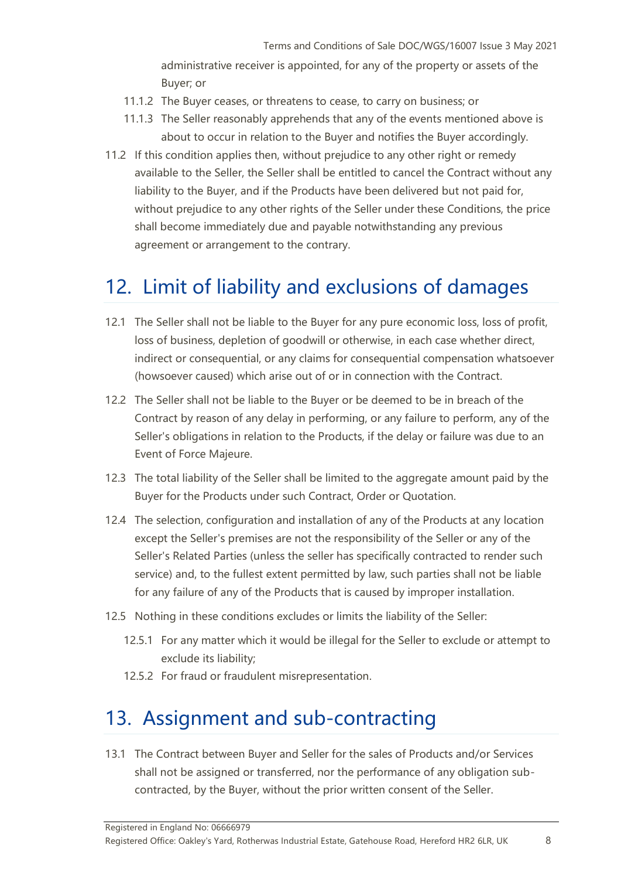administrative receiver is appointed, for any of the property or assets of the Buyer; or

- 11.1.2 The Buyer ceases, or threatens to cease, to carry on business; or
- 11.1.3 The Seller reasonably apprehends that any of the events mentioned above is about to occur in relation to the Buyer and notifies the Buyer accordingly.
- 11.2 If this condition applies then, without prejudice to any other right or remedy available to the Seller, the Seller shall be entitled to cancel the Contract without any liability to the Buyer, and if the Products have been delivered but not paid for, without prejudice to any other rights of the Seller under these Conditions, the price shall become immediately due and payable notwithstanding any previous agreement or arrangement to the contrary.

# 12. Limit of liability and exclusions of damages

- 12.1 The Seller shall not be liable to the Buyer for any pure economic loss, loss of profit, loss of business, depletion of goodwill or otherwise, in each case whether direct, indirect or consequential, or any claims for consequential compensation whatsoever (howsoever caused) which arise out of or in connection with the Contract.
- 12.2 The Seller shall not be liable to the Buyer or be deemed to be in breach of the Contract by reason of any delay in performing, or any failure to perform, any of the Seller's obligations in relation to the Products, if the delay or failure was due to an Event of Force Majeure.
- 12.3 The total liability of the Seller shall be limited to the aggregate amount paid by the Buyer for the Products under such Contract, Order or Quotation.
- 12.4 The selection, configuration and installation of any of the Products at any location except the Seller's premises are not the responsibility of the Seller or any of the Seller's Related Parties (unless the seller has specifically contracted to render such service) and, to the fullest extent permitted by law, such parties shall not be liable for any failure of any of the Products that is caused by improper installation.
- 12.5 Nothing in these conditions excludes or limits the liability of the Seller:
	- 12.5.1 For any matter which it would be illegal for the Seller to exclude or attempt to exclude its liability;
	- 12.5.2 For fraud or fraudulent misrepresentation.

#### 13. Assignment and sub-contracting

13.1 The Contract between Buyer and Seller for the sales of Products and/or Services shall not be assigned or transferred, nor the performance of any obligation subcontracted, by the Buyer, without the prior written consent of the Seller.